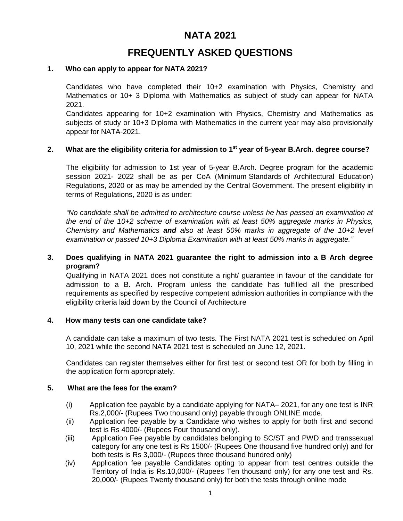# **NATA 2021**

# **FREQUENTLY ASKED QUESTIONS**

## **1. Who can apply to appear for NATA 2021?**

Candidates who have completed their 10+2 examination with Physics, Chemistry and Mathematics or 10+ 3 Diploma with Mathematics as subject of study can appear for NATA 2021.

Candidates appearing for 10+2 examination with Physics, Chemistry and Mathematics as subjects of study or 10+3 Diploma with Mathematics in the current year may also provisionally appear for NATA-2021.

# **2. What are the eligibility criteria for admission to 1st year of 5-year B.Arch. degree course?**

The eligibility for admission to 1st year of 5-year B.Arch. Degree program for the academic session 2021- 2022 shall be as per CoA (Minimum Standards of Architectural Education) Regulations, 2020 or as may be amended by the Central Government. The present eligibility in terms of Regulations, 2020 is as under:

*"No candidate shall be admitted to architecture course unless he has passed an examination at the end of the 10+2 scheme of examination with at least 50% aggregate marks in Physics, Chemistry and Mathematics and also at least 50% marks in aggregate of the 10+2 level examination or passed 10+3 Diploma Examination with at least 50% marks in aggregate."*

## **3. Does qualifying in NATA 2021 guarantee the right to admission into a B Arch degree program?**

Qualifying in NATA 2021 does not constitute a right/ guarantee in favour of the candidate for admission to a B. Arch. Program unless the candidate has fulfilled all the prescribed requirements as specified by respective competent admission authorities in compliance with the eligibility criteria laid down by the Council of Architecture

## **4. How many tests can one candidate take?**

A candidate can take a maximum of two tests. The First NATA 2021 test is scheduled on April 10, 2021 while the second NATA 2021 test is scheduled on June 12, 2021.

Candidates can register themselves either for first test or second test OR for both by filling in the application form appropriately.

# **5. What are the fees for the exam?**

- (i) Application fee payable by a candidate applying for NATA– 2021, for any one test is INR Rs.2,000/- (Rupees Two thousand only) payable through ONLINE mode.
- (ii) Application fee payable by a Candidate who wishes to apply for both first and second test is Rs 4000/- (Rupees Four thousand only).
- (iii) Application Fee payable by candidates belonging to SC/ST and PWD and transsexual category for any one test is Rs 1500/- (Rupees One thousand five hundred only) and for both tests is Rs 3,000/- (Rupees three thousand hundred only)
- (iv) Application fee payable Candidates opting to appear from test centres outside the Territory of India is Rs.10,000/- (Rupees Ten thousand only) for any one test and Rs. 20,000/- (Rupees Twenty thousand only) for both the tests through online mode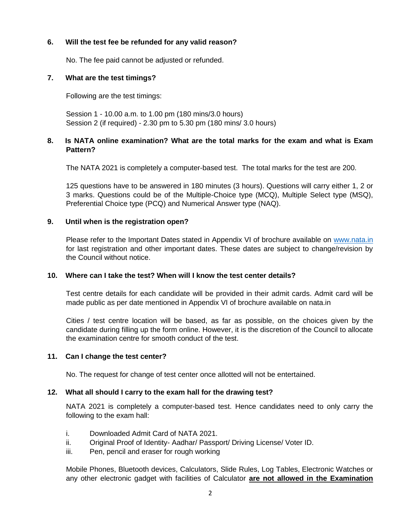# **6. Will the test fee be refunded for any valid reason?**

No. The fee paid cannot be adjusted or refunded.

## **7. What are the test timings?**

Following are the test timings:

Session 1 - 10.00 a.m. to 1.00 pm (180 mins/3.0 hours) Session 2 (if required) - 2.30 pm to 5.30 pm (180 mins/ 3.0 hours)

# **8. Is NATA online examination? What are the total marks for the exam and what is Exam Pattern?**

The NATA 2021 is completely a computer-based test. The total marks for the test are 200.

125 questions have to be answered in 180 minutes (3 hours). Questions will carry either 1, 2 or 3 marks. Questions could be of the Multiple-Choice type (MCQ), Multiple Select type (MSQ), Preferential Choice type (PCQ) and Numerical Answer type (NAQ).

#### **9. Until when is the registration open?**

Please refer to the Important Dates stated in Appendix VI of brochure available on [www.nata.in](http://www.nata.in/) for last registration and other important dates. These dates are subject to change/revision by the Council without notice.

#### **10. Where can I take the test? When will I know the test center details?**

Test centre details for each candidate will be provided in their admit cards. Admit card will be made public as per date mentioned in Appendix VI of brochure available on nata.in

Cities / test centre location will be based, as far as possible, on the choices given by the candidate during filling up the form online. However, it is the discretion of the Council to allocate the examination centre for smooth conduct of the test.

## **11. Can I change the test center?**

No. The request for change of test center once allotted will not be entertained.

#### **12. What all should I carry to the exam hall for the drawing test?**

NATA 2021 is completely a computer-based test. Hence candidates need to only carry the following to the exam hall:

- i. Downloaded Admit Card of NATA 2021.
- ii. Original Proof of Identity- Aadhar/ Passport/ Driving License/ Voter ID.
- iii. Pen, pencil and eraser for rough working

Mobile Phones, Bluetooth devices, Calculators, Slide Rules, Log Tables, Electronic Watches or any other electronic gadget with facilities of Calculator **are not allowed in the Examination**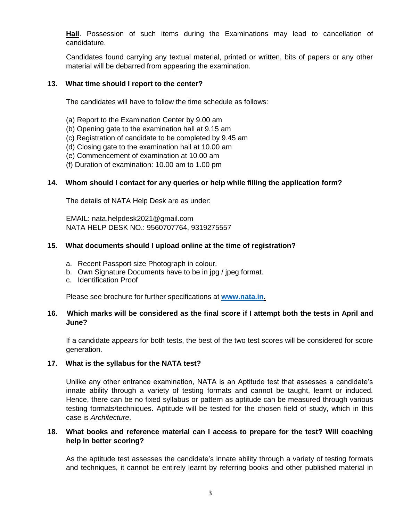**Hall**. Possession of such items during the Examinations may lead to cancellation of candidature.

Candidates found carrying any textual material, printed or written, bits of papers or any other material will be debarred from appearing the examination.

## **13. What time should I report to the center?**

The candidates will have to follow the time schedule as follows:

- (a) Report to the Examination Center by 9.00 am
- (b) Opening gate to the examination hall at 9.15 am
- (c) Registration of candidate to be completed by 9.45 am
- (d) Closing gate to the examination hall at 10.00 am
- (e) Commencement of examination at 10.00 am
- (f) Duration of examination: 10.00 am to 1.00 pm

## **14. Whom should I contact for any queries or help while filling the application form?**

The details of NATA Help Desk are as under:

EMAIL: nata.helpdesk2021@gmail.com NATA HELP DESK NO.: 9560707764, 9319275557

#### **15. What documents should I upload online at the time of registration?**

- a. Recent Passport size Photograph in colour.
- b. Own Signature Documents have to be in jpg / jpeg format.
- c. Identification Proof

Please see brochure for further specifications at **[www.nata.in.](http://www.nata.in/)**

## **16. Which marks will be considered as the final score if I attempt both the tests in April and June?**

If a candidate appears for both tests, the best of the two test scores will be considered for score generation.

#### **17. What is the syllabus for the NATA test?**

Unlike any other entrance examination, NATA is an Aptitude test that assesses a candidate's innate ability through a variety of testing formats and cannot be taught, learnt or induced. Hence, there can be no fixed syllabus or pattern as aptitude can be measured through various testing formats/techniques. Aptitude will be tested for the chosen field of study, which in this case is *Architecture*.

## **18. What books and reference material can I access to prepare for the test? Will coaching help in better scoring?**

As the aptitude test assesses the candidate's innate ability through a variety of testing formats and techniques, it cannot be entirely learnt by referring books and other published material in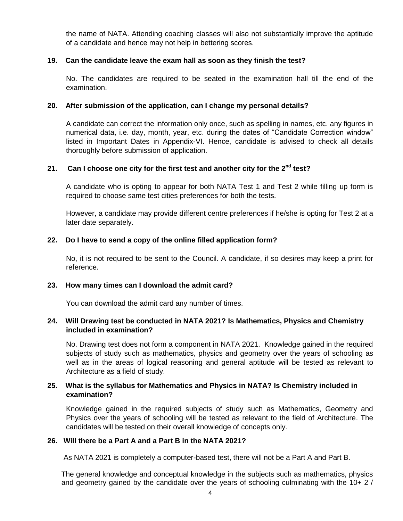the name of NATA. Attending coaching classes will also not substantially improve the aptitude of a candidate and hence may not help in bettering scores.

#### **19. Can the candidate leave the exam hall as soon as they finish the test?**

No. The candidates are required to be seated in the examination hall till the end of the examination.

#### **20. After submission of the application, can I change my personal details?**

A candidate can correct the information only once, such as spelling in names, etc. any figures in numerical data, i.e. day, month, year, etc. during the dates of "Candidate Correction window" listed in Important Dates in Appendix-VI. Hence, candidate is advised to check all details thoroughly before submission of application.

#### **21. Can I choose one city for the first test and another city for the 2nd test?**

A candidate who is opting to appear for both NATA Test 1 and Test 2 while filling up form is required to choose same test cities preferences for both the tests.

However, a candidate may provide different centre preferences if he/she is opting for Test 2 at a later date separately.

#### **22. Do I have to send a copy of the online filled application form?**

No, it is not required to be sent to the Council. A candidate, if so desires may keep a print for reference.

#### **23. How many times can I download the admit card?**

You can download the admit card any number of times.

#### **24. Will Drawing test be conducted in NATA 2021? Is Mathematics, Physics and Chemistry included in examination?**

No. Drawing test does not form a component in NATA 2021. Knowledge gained in the required subjects of study such as mathematics, physics and geometry over the years of schooling as well as in the areas of logical reasoning and general aptitude will be tested as relevant to Architecture as a field of study.

# **25. What is the syllabus for Mathematics and Physics in NATA? Is Chemistry included in examination?**

Knowledge gained in the required subjects of study such as Mathematics, Geometry and Physics over the years of schooling will be tested as relevant to the field of Architecture. The candidates will be tested on their overall knowledge of concepts only.

#### **26. Will there be a Part A and a Part B in the NATA 2021?**

As NATA 2021 is completely a computer-based test, there will not be a Part A and Part B.

 The general knowledge and conceptual knowledge in the subjects such as mathematics, physics and geometry gained by the candidate over the years of schooling culminating with the 10+ 2 /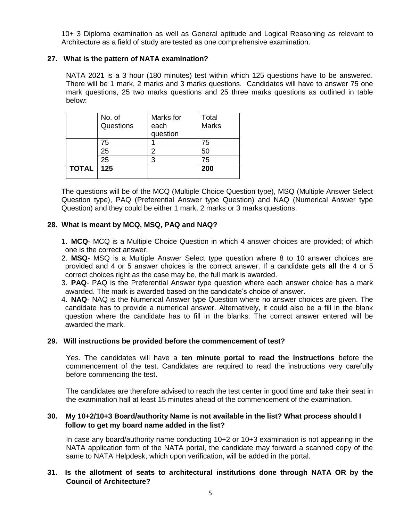10+ 3 Diploma examination as well as General aptitude and Logical Reasoning as relevant to Architecture as a field of study are tested as one comprehensive examination.

#### **27. What is the pattern of NATA examination?**

NATA 2021 is a 3 hour (180 minutes) test within which 125 questions have to be answered. There will be 1 mark, 2 marks and 3 marks questions. Candidates will have to answer 75 one mark questions, 25 two marks questions and 25 three marks questions as outlined in table below:

|              | No. of    | Marks for | Total        |
|--------------|-----------|-----------|--------------|
|              | Questions | each      | <b>Marks</b> |
|              |           | question  |              |
|              | 75        |           | 75           |
|              | 25        | 2         | 50           |
|              | 25        | 3         | 75           |
| <b>TOTAL</b> | 125       |           | 200          |
|              |           |           |              |

 The questions will be of the MCQ (Multiple Choice Question type), MSQ (Multiple Answer Select Question type), PAQ (Preferential Answer type Question) and NAQ (Numerical Answer type Question) and they could be either 1 mark, 2 marks or 3 marks questions.

#### **28. What is meant by MCQ, MSQ, PAQ and NAQ?**

- 1. **MCQ** MCQ is a Multiple Choice Question in which 4 answer choices are provided; of which one is the correct answer.
- 2. **MSQ** MSQ is a Multiple Answer Select type question where 8 to 10 answer choices are provided and 4 or 5 answer choices is the correct answer. If a candidate gets **all** the 4 or 5 correct choices right as the case may be, the full mark is awarded.
- 3. **PAQ** PAQ is the Preferential Answer type question where each answer choice has a mark awarded. The mark is awarded based on the candidate's choice of answer.
- 4. **NAQ** NAQ is the Numerical Answer type Question where no answer choices are given. The candidate has to provide a numerical answer. Alternatively, it could also be a fill in the blank question where the candidate has to fill in the blanks. The correct answer entered will be awarded the mark.

#### **29. Will instructions be provided before the commencement of test?**

Yes. The candidates will have a **ten minute portal to read the instructions** before the commencement of the test. Candidates are required to read the instructions very carefully before commencing the test.

The candidates are therefore advised to reach the test center in good time and take their seat in the examination hall at least 15 minutes ahead of the commencement of the examination.

## **30. My 10+2/10+3 Board/authority Name is not available in the list? What process should I follow to get my board name added in the list?**

In case any board/authority name conducting 10+2 or 10+3 examination is not appearing in the NATA application form of the NATA portal, the candidate may forward a scanned copy of the same to NATA Helpdesk, which upon verification, will be added in the portal.

#### **31. Is the allotment of seats to architectural institutions done through NATA OR by the Council of Architecture?**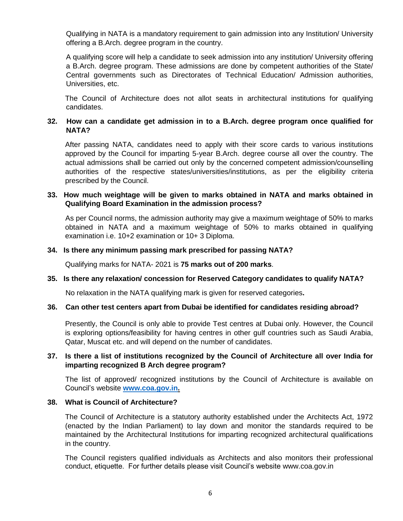Qualifying in NATA is a mandatory requirement to gain admission into any Institution/ University offering a B.Arch. degree program in the country.

A qualifying score will help a candidate to seek admission into any institution/ University offering a B.Arch. degree program. These admissions are done by competent authorities of the State/ Central governments such as Directorates of Technical Education/ Admission authorities, Universities, etc.

The Council of Architecture does not allot seats in architectural institutions for qualifying candidates.

## **32. How can a candidate get admission in to a B.Arch. degree program once qualified for NATA?**

After passing NATA, candidates need to apply with their score cards to various institutions approved by the Council for imparting 5-year B.Arch. degree course all over the country. The actual admissions shall be carried out only by the concerned competent admission/counselling authorities of the respective states/universities/institutions, as per the eligibility criteria prescribed by the Council.

#### **33. How much weightage will be given to marks obtained in NATA and marks obtained in Qualifying Board Examination in the admission process?**

 As per Council norms, the admission authority may give a maximum weightage of 50% to marks obtained in NATA and a maximum weightage of 50% to marks obtained in qualifying examination i.e. 10+2 examination or 10+ 3 Diploma.

#### **34. Is there any minimum passing mark prescribed for passing NATA?**

Qualifying marks for NATA- 2021 is **75 marks out of 200 marks**.

#### **35. Is there any relaxation/ concession for Reserved Category candidates to qualify NATA?**

No relaxation in the NATA qualifying mark is given for reserved categories**.** 

#### **36. Can other test centers apart from Dubai be identified for candidates residing abroad?**

Presently, the Council is only able to provide Test centres at Dubai only. However, the Council is exploring options/feasibility for having centres in other gulf countries such as Saudi Arabia, Qatar, Muscat etc. and will depend on the number of candidates.

#### **37. Is there a list of institutions recognized by the Council of Architecture all over India for imparting recognized B Arch degree program?**

 The list of approved/ recognized institutions by the Council of Architecture is available on Council's website **[www.coa.gov.in.](http://www.coa.gov.in/)**

## **38. What is Council of Architecture?**

The Council of Architecture is a statutory authority established under the Architects Act, 1972 (enacted by the Indian Parliament) to lay down and monitor the standards required to be maintained by the Architectural Institutions for imparting recognized architectural qualifications in the country.

The Council registers qualified individuals as Architects and also monitors their professional conduct, etiquette. For further details please visit Council's website www.coa.gov.in